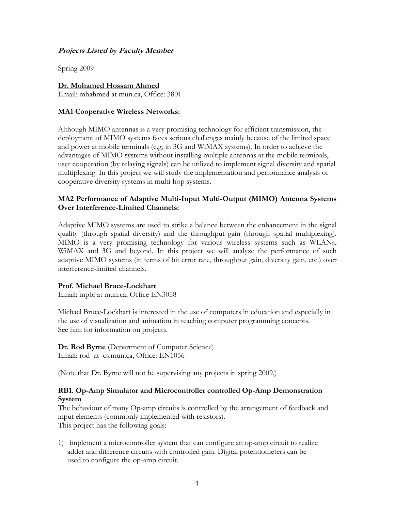# **Projects Listed by Faculty Member**

Spring 2009

# **Dr. Mohamed Hossam Ahmed**

Email: mhahmed at mun.ca, Office: 3801

### **MA1 Cooperative Wireless Networks:**

Although MIMO antennas is a very promising technology for efficient transmission, the deployment of MIMO systems faces serious challenges mainly because of the limited space and power at mobile terminals (e.g, in 3G and WiMAX systems). In order to achieve the advantages of MIMO systems without installing multiple antennas at the mobile terminals, user cooperation (by relaying signals) can be utilized to implement signal diversity and spatial multiplexing. In this project we will study the implementation and performance analysis of cooperative diversity systems in multi-hop systems.

# **MA2 Performance of Adaptive Multi-Input Multi-Output (MIMO) Antenna Systems Over Interference-Limited Channels:**

Adaptive MIMO systems are used to strike a balance between the enhancement in the signal quality (through spatial diversity) and the throughput gain (through spatial multiplexing). MIMO is a very promising technology for various wireless systems such as WLANs, WiMAX and 3G and beyond. In this project we will analyze the performance of such adaptive MIMO systems (in terms of bit error rate, throughput gain, diversity gain, etc.) over interference-limited channels.

### **Prof. Michael Bruce-Lockhart**

Email: mpbl at mun.ca, Office EN3058

Michael Bruce-Lockhart is interested in the use of computers in education and especially in the use of visualization and animation in teaching computer programming concepts. See him for information on projects.

**Dr. Rod Byrne** (Department of Computer Science) Email: rod at cs.mun.ca, Office: EN1056

(Note that Dr. Byrne will not be supervising any projects in spring 2009.)

# **RB1. Op-Amp Simulator and Microcontroller controlled Op-Amp Demonstration System**

The behaviour of many Op-amp circuits is controlled by the arrangement of feedback and input elements (commonly implemented with resistors). This project has the following goals:

1) implement a microcontroller system that can configure an op-amp circuit to realize adder and difference circuits with controlled gain. Digital potentiometers can be used to configure the op-amp circuit.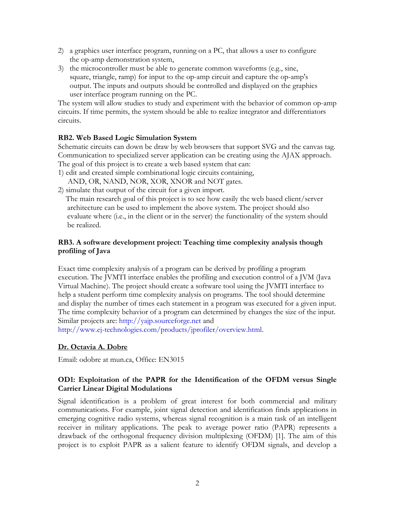- 2) a graphics user interface program, running on a PC, that allows a user to configure the op-amp demonstration system,
- 3) the microcontroller must be able to generate common waveforms (e.g., sine, square, triangle, ramp) for input to the op-amp circuit and capture the op-amp's output. The inputs and outputs should be controlled and displayed on the graphics user interface program running on the PC.

The system will allow studies to study and experiment with the behavior of common op-amp circuits. If time permits, the system should be able to realize integrator and differentiators circuits.

# **RB2. Web Based Logic Simulation System**

Schematic circuits can down be draw by web browsers that support SVG and the canvas tag. Communication to specialized server application can be creating using the AJAX approach. The goal of this project is to create a web based system that can:

1) edit and created simple combinational logic circuits containing,

AND, OR, NAND, NOR, XOR, XNOR and NOT gates.

2) simulate that output of the circuit for a given import.

 The main research goal of this project is to see how easily the web based client/server architecture can be used to implement the above system. The project should also evaluate where (i.e., in the client or in the server) the functionality of the system should be realized.

# **RB3. A software development project: Teaching time complexity analysis though profiling of Java**

Exact time complexity analysis of a program can be derived by profiling a program execution. The JVMTI interface enables the profiling and execution control of a JVM (Java Virtual Machine). The project should create a software tool using the JVMTI interface to help a student perform time complexity analysis on programs. The tool should determine and display the number of times each statement in a program was executed for a given input. The time complexity behavior of a program can determined by changes the size of the input. Similar projects are: http://yajp.sourceforge.net and

http://www.ej-technologies.com/products/jprofiler/overview.html.

# **Dr. Octavia A. Dobre**

Email: odobre at mun.ca, Office: EN3015

# **OD1: Exploitation of the PAPR for the Identification of the OFDM versus Single Carrier Linear Digital Modulations**

Signal identification is a problem of great interest for both commercial and military communications. For example, joint signal detection and identification finds applications in emerging cognitive radio systems, whereas signal recognition is a main task of an intelligent receiver in military applications. The peak to average power ratio (PAPR) represents a drawback of the orthogonal frequency division multiplexing (OFDM) [1]. The aim of this project is to exploit PAPR as a salient feature to identify OFDM signals, and develop a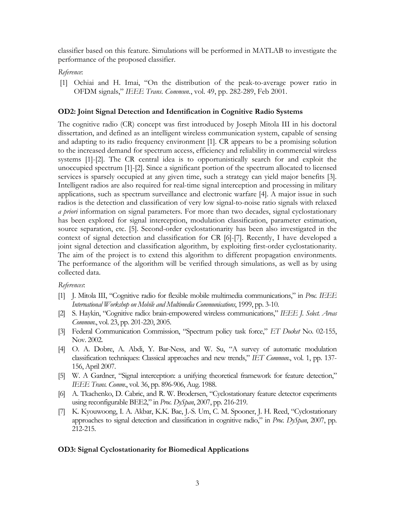classifier based on this feature. Simulations will be performed in MATLAB to investigate the performance of the proposed classifier.

#### *Reference*:

[1] Ochiai and H. Imai, "On the distribution of the peak-to-average power ratio in OFDM signals," *IEEE Trans. Commun.*, vol. 49, pp. 282-289, Feb 2001.

#### **OD2: Joint Signal Detection and Identification in Cognitive Radio Systems**

The cognitive radio (CR) concept was first introduced by Joseph Mitola III in his doctoral dissertation, and defined as an intelligent wireless communication system, capable of sensing and adapting to its radio frequency environment [\[1\]](#page-2-0). CR appears to be a promising solution to the increased demand for spectrum access, efficiency and reliability in commercial wireless systems [\[1\]](#page-2-0)-[\[2\]](#page-2-1). The CR central idea is to opportunistically search for and exploit the unoccupied spectrum [\[1\]](#page-2-0)[-\[2\]](#page-2-1). Since a significant portion of the spectrum allocated to licensed services is sparsely occupied at any given time, such a strategy can yield major benefits [\[3\]](#page-2-2). Intelligent radios are also required for real-time signal interception and processing in military applications, such as spectrum surveillance and electronic warfare [\[4\].](#page-2-3) A major issue in such radios is the detection and classification of very low signal-to-noise ratio signals with relaxed *a priori* information on signal parameters. For more than two decades, signal cyclostationary has been explored for signal interception, modulation classification, parameter estimation, source separation, etc. [\[5\]](#page-2-4). Second-order cyclostationarity has been also investigated in the context of signal detection and classification for CR [\[6\]](#page-2-5)-[\[7\].](#page-2-6) Recently, I have developed a joint signal detection and classification algorithm, by exploiting first-order cyclostationarity. The aim of the project is to extend this algorithm to different propagation environments. The performance of the algorithm will be verified through simulations, as well as by using collected data.

#### *References*:

- <span id="page-2-0"></span>[1] J. Mitola III, "Cognitive radio for flexible mobile multimedia communications," in *Proc. IEEE International Workshop on Mobile and Multimedia Communications*, 1999, pp. 3-10.
- <span id="page-2-1"></span>[2] S. Haykin, "Cognitive radio: brain-empowered wireless communications," *IEEE J. Select. Areas Commun*., vol. 23, pp. 201-220, 2005.
- <span id="page-2-2"></span>[3] Federal Communication Commission, "Spectrum policy task force," *ET Docket* No. 02-155, Nov. 2002.
- <span id="page-2-3"></span>[4] O. A. Dobre, A. Abdi, Y. Bar-Ness, and W. Su, "A survey of automatic modulation classification techniques: Classical approaches and new trends," *IET Commun*., vol. 1, pp. 137- 156, April 2007.
- <span id="page-2-4"></span>[5] W. A Gardner, "Signal interception: a unifying theoretical framework for feature detection," *IEEE Trans. Comm*., vol. 36, pp. 896-906, Aug. 1988.
- <span id="page-2-5"></span>[6] A. Tkachenko, D. Cabric, and R. W. Brodersen, "Cyclostationary feature detector experiments using reconfigurable BEE2," in *Proc. DySpan*, 2007, pp. 216-219.
- <span id="page-2-6"></span>[7] K. Kyouwoong, I. A. Akbar, K.K. Bae, J.-S. Um, C. M. Spooner, J. H. Reed, "Cyclostationary approaches to signal detection and classification in cognitive radio," in *Proc. DySpan*, 2007, pp. 212-215.

#### **OD3: Signal Cyclostationarity for Biomedical Applications**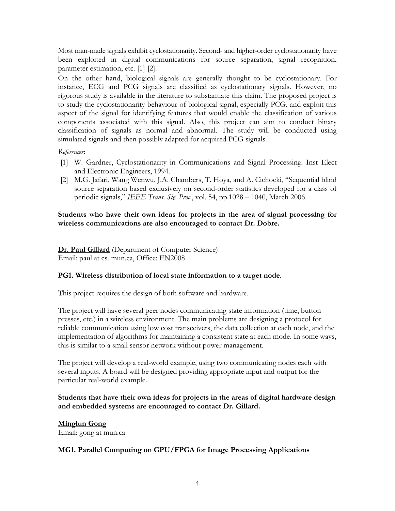Most man-made signals exhibit cyclostationarity. Second- and higher-order cyclostationarity have been exploited in digital communications for source separation, signal recognition, parameter estimation, etc. [1]-[2].

On the other hand, biological signals are generally thought to be cyclostationary. For instance, ECG and PCG signals are classified as cyclostationary signals. However, no rigorous study is available in the literature to substantiate this claim. The proposed project is to study the cyclostationarity behaviour of biological signal, especially PCG, and exploit this aspect of the signal for identifying features that would enable the classification of various components associated with this signal. Also, this project can aim to conduct binary classification of signals as normal and abnormal. The study will be conducted using simulated signals and then possibly adapted for acquired PCG signals.

### *References*:

- [1] W. Gardner, Cyclostationarity in Communications and Signal Processing. Inst Elect and Electronic Engineers, 1994.
- [2] M.G. Jafari, Wang Wenwu, J.A. Chambers, T. Hoya, and A. Cichocki, "Sequential blind source separation based exclusively on second-order statistics developed for a class of periodic signals," *IEEE Trans. Sig. Proc*., vol. 54, pp.1028 – 1040, March 2006.

**Students who have their own ideas for projects in the area of signal processing for wireless communications are also encouraged to contact Dr. Dobre.** 

**Dr. Paul Gillard** (Department of Computer Science) Email: paul at cs. mun.ca, Office: EN2008

### **PG1. Wireless distribution of local state information to a target node**.

This project requires the design of both software and hardware.

The project will have several peer nodes communicating state information (time, button presses, etc.) in a wireless environment. The main problems are designing a protocol for reliable communication using low cost transceivers, the data collection at each node, and the implementation of algorithms for maintaining a consistent state at each mode. In some ways, this is similar to a small sensor network without power management.

The project will develop a real-world example, using two communicating nodes each with several inputs. A board will be designed providing appropriate input and output for the particular real-world example.

# **Students that have their own ideas for projects in the areas of digital hardware design and embedded systems are encouraged to contact Dr. Gillard.**

# **Minglun Gong**

Email: [gong at mun.ca](mailto:gong@mun.ca)

### **MG1. Parallel Computing on GPU/FPGA for Image Processing Applications**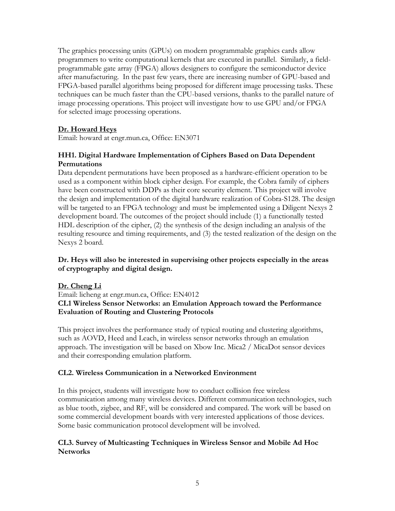The graphics processing units (GPUs) on modern programmable graphics cards allow programmers to write computational kernels that are executed in parallel. Similarly, a fieldprogrammable gate array (FPGA) allows designers to configure the semiconductor device after manufacturing. In the past few years, there are increasing number of GPU-based and FPGA-based parallel algorithms being proposed for different image processing tasks. These techniques can be much faster than the CPU-based versions, thanks to the parallel nature of image processing operations. This project will investigate how to use GPU and/or FPGA for selected image processing operations.

# **Dr. Howard Heys**

Email: howard at engr.mun.ca, Office: EN3071

# **HH1. Digital Hardware Implementation of Ciphers Based on Data Dependent Permutations**

Data dependent permutations have been proposed as a hardware-efficient operation to be used as a component within block cipher design. For example, the Cobra family of ciphers have been constructed with DDPs as their core security element. This project will involve the design and implementation of the digital hardware realization of Cobra-S128. The design will be targeted to an FPGA technology and must be implemented using a Diligent Nexys 2 development board. The outcomes of the project should include (1) a functionally tested HDL description of the cipher, (2) the synthesis of the design including an analysis of the resulting resource and timing requirements, and (3) the tested realization of the design on the Nexys 2 board.

# **Dr. Heys will also be interested in supervising other projects especially in the areas of cryptography and digital design.**

# **Dr. Cheng Li**

Email: licheng at engr.mun.ca, Office: EN4012 **CL1 Wireless Sensor Networks: an Emulation Approach toward the Performance Evaluation of Routing and Clustering Protocols** 

This project involves the performance study of typical routing and clustering algorithms, such as AOVD, Heed and Leach, in wireless sensor networks through an emulation approach. The investigation will be based on Xbow Inc. Mica2 / MicaDot sensor devices and their corresponding emulation platform.

# **CL2. Wireless Communication in a Networked Environment**

In this project, students will investigate how to conduct collision free wireless communication among many wireless devices. Different communication technologies, such as blue tooth, zigbee, and RF, will be considered and compared. The work will be based on some commercial development boards with very interested applications of those devices. Some basic communication protocol development will be involved.

# **CL3. Survey of Multicasting Techniques in Wireless Sensor and Mobile Ad Hoc Networks**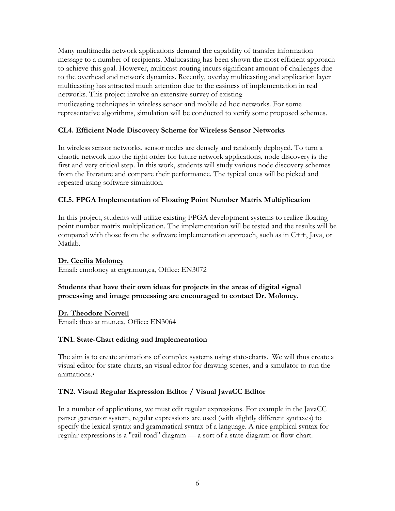Many multimedia network applications demand the capability of transfer information message to a number of recipients. Multicasting has been shown the most efficient approach to achieve this goal. However, multicast routing incurs significant amount of challenges due to the overhead and network dynamics. Recently, overlay multicasting and application layer multicasting has attracted much attention due to the easiness of implementation in real networks. This project involve an extensive survey of existing

mutlicasting techniques in wireless sensor and mobile ad hoc networks. For some representative algorithms, simulation will be conducted to verify some proposed schemes.

# **CL4. Efficient Node Discovery Scheme for Wireless Sensor Networks**

In wireless sensor networks, sensor nodes are densely and randomly deployed. To turn a chaotic network into the right order for future network applications, node discovery is the first and very critical step. In this work, students will study various node discovery schemes from the literature and compare their performance. The typical ones will be picked and repeated using software simulation.

# **CL5. FPGA Implementation of Floating Point Number Matrix Multiplication**

In this project, students will utilize existing FPGA development systems to realize floating point number matrix multiplication. The implementation will be tested and the results will be compared with those from the software implementation approach, such as in C++, Java, or Matlab.

### **Dr. Cecilia Moloney**

Email: cmoloney at engr.mun,ca, Office: EN3072

# **Students that have their own ideas for projects in the areas of digital signal processing and image processing are encouraged to contact Dr. Moloney.**

**Dr. Theodore Norvell** Email: theo at mun.ca, Office: EN3064

### **TN1. State-Chart editing and implementation**

The aim is to create animations of complex systems using state-charts. We will thus create a visual editor for state-charts, an visual editor for drawing scenes, and a simulator to run the animations.•

### **TN2. Visual Regular Expression Editor / Visual JavaCC Editor**

In a number of applications, we must edit regular expressions. For example in the JavaCC parser generator system, regular expressions are used (with slightly different syntaxes) to specify the lexical syntax and grammatical syntax of a language. A nice graphical syntax for regular expressions is a "rail-road" diagram — a sort of a state-diagram or flow-chart.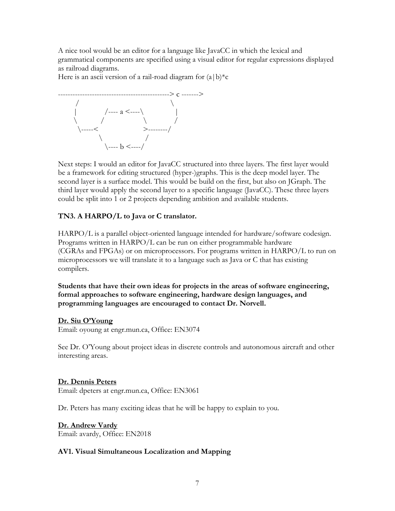A nice tool would be an editor for a language like JavaCC in which the lexical and rammatical components are specified using a visual editor for regular expressions displayed g as railroad diagrams.

Here is an ascii version of a rail-road diagram for  $(a|b)$ <sup>\*</sup>c



be a framework for editing structured (hyper-)graphs. This is the deep model layer. The second layer is a surface model. This would be build on the first, but also on JGraph. The third layer would apply the second layer to a specific language (JavaCC). These three layers could be split into 1 or 2 projects depending ambition and available students. Next steps: I would an editor for JavaCC structured into three layers. The first layer would

# **TN3. A HARPO/L to Java or C translator.**

HARPO/L is a parallel object-oriented language intended for hardware/software codesign. Programs written in HARPO/L can be run on either programmable hardware GRAs and FPGAs) or on microprocessors. For programs written in HARPO/L to run on (C microprocessors we will translate it to a language such as Java or C that has existing compilers.

Students that have their own ideas for projects in the areas of software engineering, formal approaches to software engineering, hardware design languages, and programming languages are encouraged to contact Dr. Norvell.

### **Dr. Siu O'Young**

Email: oyoung at engr.mun.ca, Office: EN3074

See Dr. O'Young about project ideas in discrete controls and autonomous aircraft and other interesting areas.

### **Dr. Dennis Peters**

Email: dpeters at engr.mun.ca, Office: EN3061

Dr. Peters has many exciting ideas that he will be happy to explain to you.

### **Dr. Andrew Vardy**

Email: avardy, Office: EN2018

### **AV1. Visual Simultaneous Localization and Mapping**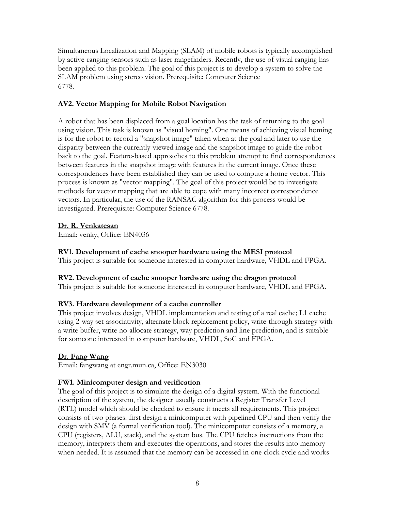Simultaneous Localization and Mapping (SLAM) of mobile robots is typically accomplish ed by active-ranging sensors such as laser rangefinders. Recently, the use of visual ranging has been applied to this problem. The goal of this project is to develop a system to solve the SLAM problem using stereo vision. Prerequisite: Computer Science 6778.

# **AV2. Vector Mapping for Mobile Robot Navigation**

using vision. This task is known as "visual homing". One means of achieving visual homing disparity between the currently-viewed image and the snapshot image to guide the robot back to the goal. Feature-based approaches to this problem attempt to find correspondences process is known as "vector mapping". The goal of this project would be to investigate methods for vector mapping that are able to cope with many incorrect correspondence vectors. In particular, the use of the RANSAC algorithm for this process would be investigated. Prerequisite: Computer Science 6778. A robot that has been displaced from a goal location has the task of returning to the goal is for the robot to record a "snapshot image" taken when at the goal and later to use the between features in the snapshot image with features in the current image. Once these correspondences have been established they can be used to compute a home vector. This

# **r. R. Venkatesan D**

Email: venky, Office: EN4036

# **V1. Development of cache snooper hardware using the MESI protocol R**

This project is suitable for someone interested in computer hardware, VHDL and FPGA.

# **V2. Development of cache snooper hardware using the dragon protocol R**

This project is suitable for someone interested in computer hardware, VHDL and FPGA.

### **RV3. Hardware development of a cache controller**

using 2-way set-associativity, alternate block replacement policy, write-through strategy with write buffer, write no-allocate strategy, way prediction and line prediction, and is suitable a for someone interested in computer hardware, VHDL, SoC and FPGA. This project involves design, VHDL implementation and testing of a real cache; L1 cache

# Dr. Fang Wang

Email: fangwang at engr.mun.ca, Office: EN3030

### **FW1. Minicomputer design and verification**

consists of two phases: first design a minicomputer with pipelined CPU and then verify the The goal of this project is to simulate the design of a digital system. With the functional description of the system, the designer usually constructs a Register Transfer Level (RTL) model which should be checked to ensure it meets all requirements. This project design with SMV (a formal verification tool). The minicomputer consists of a memory, a CPU (registers, ALU, stack), and the system bus. The CPU fetches instructions from the memory, interprets them and executes the operations, and stores the results into memory when needed. It is assumed that the memory can be accessed in one clock cycle and works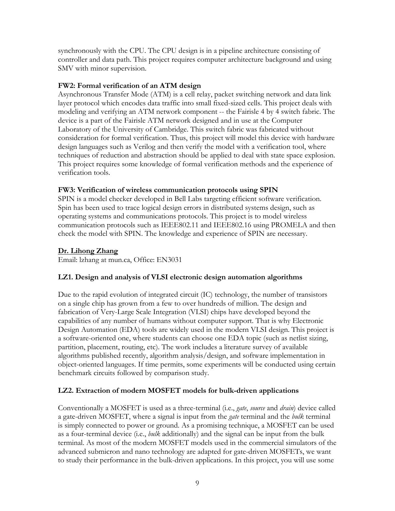synchronously with the CPU. The CPU design is in a pipeline architecture consisting of controller and data path. This project requires computer architecture background and using SMV with minor supervision.

### **FW2: Formal verification of an ATM design**

Asynchronous Transfer Mode (ATM) is a cell relay, packet switching network and data link layer protocol which encodes data traffic into small fixed-sized cells. This project deals with design languages such as Verilog and then verify the model with a verification tool, where techniques of reduction and abstraction should be applied to deal with state space explosion. This project requires some knowledge of formal verification methods and the experience of modeling and verifying an ATM network component -- the Fairisle 4 by 4 switch fabric. The device is a part of the Fairisle ATM network designed and in use at the Computer Laboratory of the University of Cambridge. This switch fabric was fabricated without consideration for formal verification. Thus, this project will model this device with hardware verification tools.

### **FW3: Verification of wireless communication protocols using SPIN**

Spin has been used to trace logical design errors in distributed systems design, such as operating systems and communications protocols. This project is to model wireless communication protocols such as IEEE802.11 and IEEE802.16 using PROMELA and then check the model with SPIN. The knowledge and experience of SPIN are necessary. SPIN is a model checker developed in Bell Labs targeting efficient software verification.

### **Dr. Lihong Zhang**

Email: lzhang at mun.ca, Office: EN3031

# **LZ1. Design and analysis of VLSI electronic design automation algorithms**

capabilities of any number of humans without computer support. That is why Electronic Design Automation (EDA) tools are widely used in the modern VLSI design. This project is partition, placement, routing, etc). The work includes a literature survey of available algorithms published recently, algorithm analysis/design, and software implementation in object-oriented languages. If time permits, some experiments will be conducted using certain benchmark circuits followed by comparison study. Due to the rapid evolution of integrated circuit (IC) technology, the number of transistors on a single chip has grown from a few to over hundreds of million. The design and fabrication of Very-Large Scale Integration (VLSI) chips have developed beyond the a software-oriented one, where students can choose one EDA topic (such as netlist sizing,

# **LZ2. Extraction of modern MOSFET models for bulk-driven applications**

Conventionally a MOSFET is used as a three-terminal (i.e., *gate*, *source* and *drain*) device called terminal. As most of the modern MOSFET models used in the commercial simulators of the advanced submicron and nano technology are adapted for gate-driven MOSFETs, we want to study their performance in the bulk-driven applications. In this project, you will use some a gate-driven MOSFET, where a signal is input from the *gate* terminal and the *bulk* terminal is simply connected to power or ground. As a promising technique, a MOSFET can be used as a four-terminal device (i.e., *bulk* additionally) and the signal can be input from the bulk